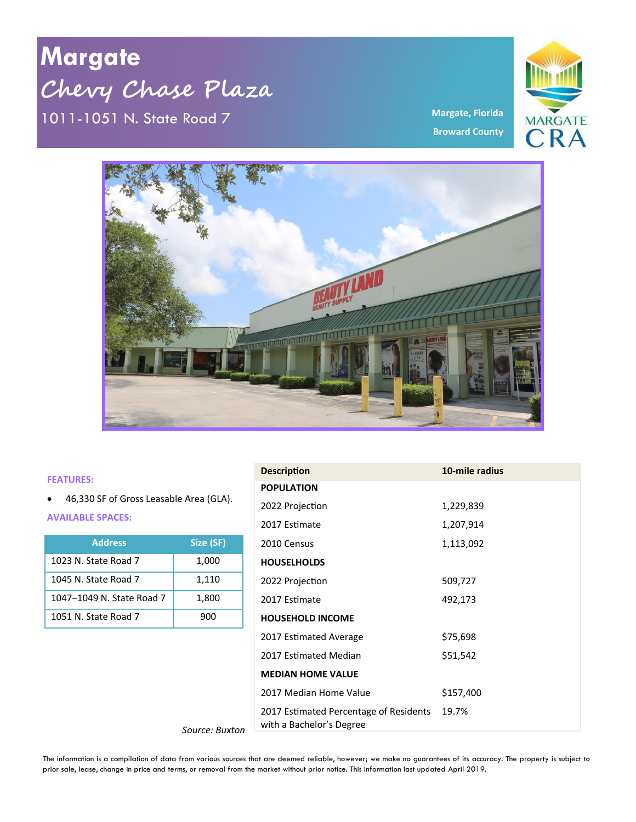**Margate Chevy Chase Plaza** 1011-1051 N. State Road 7 **Margate, Florida** **MARGATE** CRA

**Broward County**



## **FEATURES:**

• 46,330 SF of Gross Leasable Area (GLA).

**AVAILABLE SPACES:**

| <b>Address</b>            | Size (SF) |
|---------------------------|-----------|
| 1023 N. State Road 7      | 1,000     |
| 1045 N. State Road 7      | 1,110     |
| 1047-1049 N. State Road 7 | 1,800     |
| 1051 N. State Road 7      | 900       |

*Source: Buxton*

| <b>Description</b>                                                 | 10-mile radius |
|--------------------------------------------------------------------|----------------|
| <b>POPULATION</b>                                                  |                |
| 2022 Projection                                                    | 1,229,839      |
| 2017 Estimate                                                      | 1,207,914      |
| 2010 Census                                                        | 1,113,092      |
| <b>HOUSELHOLDS</b>                                                 |                |
| 2022 Projection                                                    | 509,727        |
| 2017 Estimate                                                      | 492,173        |
| <b>HOUSEHOLD INCOME</b>                                            |                |
| 2017 Estimated Average                                             | \$75,698       |
| 2017 Estimated Median                                              | \$51,542       |
| <b>MEDIAN HOME VALUE</b>                                           |                |
| 2017 Median Home Value                                             | \$157,400      |
| 2017 Estimated Percentage of Residents<br>with a Bachelor's Degree | 19.7%          |

The information is a compilation of data from various sources that are deemed reliable, however; we make no guarantees of its accuracy. The property is subject to prior sale, lease, change in price and terms, or removal from the market without prior notice. This information last updated April 2019.